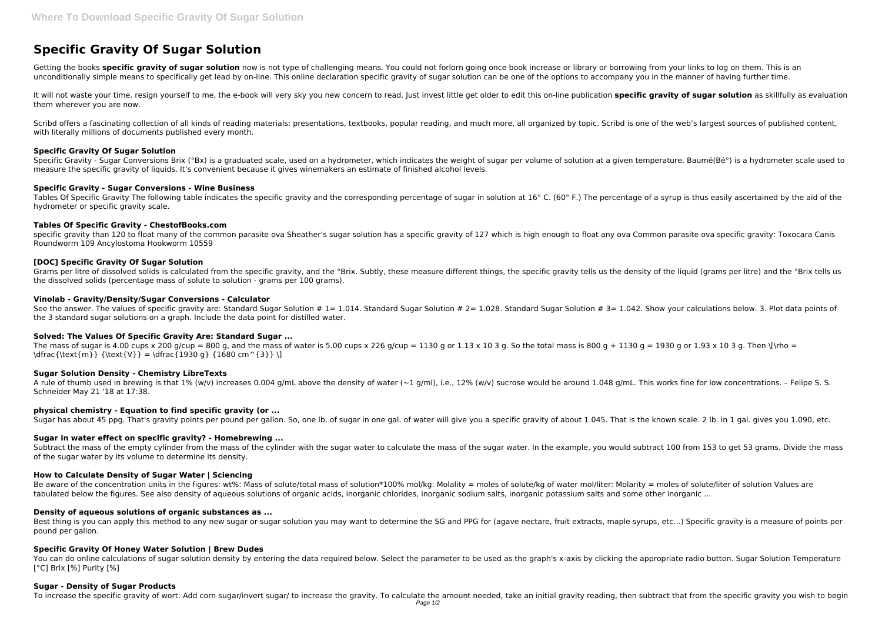# **Specific Gravity Of Sugar Solution**

Getting the books **specific gravity of sugar solution** now is not type of challenging means. You could not forlorn going once book increase or library or borrowing from your links to log on them. This is an unconditionally simple means to specifically get lead by on-line. This online declaration specific gravity of sugar solution can be one of the options to accompany you in the manner of having further time.

It will not waste your time. resign yourself to me, the e-book will very sky you new concern to read. Just invest little get older to edit this on-line publication specific gravity of sugar solution as skillfully as evalua them wherever you are now.

Scribd offers a fascinating collection of all kinds of reading materials: presentations, textbooks, popular reading, and much more, all organized by topic. Scribd is one of the web's largest sources of published content, with literally millions of documents published every month.

Specific Gravity - Sugar Conversions Brix (°Bx) is a graduated scale, used on a hydrometer, which indicates the weight of sugar per volume of solution at a given temperature. Baumé(Bé°) is a hydrometer scale used to measure the specific gravity of liquids. It's convenient because it gives winemakers an estimate of finished alcohol levels.

Tables Of Specific Gravity The following table indicates the specific gravity and the corresponding percentage of sugar in solution at 16° C. (60° F.) The percentage of a syrup is thus easily ascertained by the aid of the hydrometer or specific gravity scale.

specific gravity than 120 to float many of the common parasite ova Sheather's sugar solution has a specific gravity of 127 which is high enough to float any ova Common parasite ova specific gravity: Toxocara Canis Roundworm 109 Ancylostoma Hookworm 10559

# **Specific Gravity Of Sugar Solution**

Grams per litre of dissolved solids is calculated from the specific gravity, and the °Brix. Subtly, these measure different things, the specific gravity tells us the density of the liquid (grams per litre) and the °Brix te the dissolved solids (percentage mass of solute to solution - grams per 100 grams).

See the answer. The values of specific gravity are: Standard Sugar Solution #  $1 = 1.014$ . Standard Sugar Solution #  $2 = 1.028$ . Standard Sugar Solution #  $3 = 1.042$ . Show your calculations below. 3. Plot data points of the 3 standard sugar solutions on a graph. Include the data point for distilled water.

#### **Specific Gravity - Sugar Conversions - Wine Business**

A rule of thumb used in brewing is that 1% (w/v) increases 0.004 g/mL above the density of water  $(-1)$  g/ml), i.e., 12% (w/v) sucrose would be around 1.048 g/mL. This works fine for low concentrations. – Felipe S. S. Schneider May 21 '18 at 17:38.

# **Tables Of Specific Gravity - ChestofBooks.com**

Subtract the mass of the empty cylinder from the mass of the cylinder with the sugar water to calculate the mass of the sugar water. In the example, you would subtract 100 from 153 to get 53 grams. Divide the mass of the sugar water by its volume to determine its density.

#### **[DOC] Specific Gravity Of Sugar Solution**

Be aware of the concentration units in the figures: wt%: Mass of solute/total mass of solution\*100% mol/kg: Molality = moles of solute/kg of water mol/liter: Molarity = moles of solute/liter of solution Values are tabulated below the figures. See also density of aqueous solutions of organic acids, inorganic chlorides, inorganic sodium salts, inorganic potassium salts and some other inorganic ...

Best thing is you can apply this method to any new sugar or sugar solution you may want to determine the SG and PPG for (agave nectare, fruit extracts, maple syrups, etc...) Specific gravity is a measure of points per pound per gallon.

#### **Vinolab - Gravity/Density/Sugar Conversions - Calculator**

You can do online calculations of sugar solution density by entering the data required below. Select the parameter to be used as the graph's x-axis by clicking the appropriate radio button. Sugar Solution Temperature [°C] Brix [%] Purity [%]

# **Solved: The Values Of Specific Gravity Are: Standard Sugar ...**

The mass of sugar is 4.00 cups x 200 g/cup = 800 g, and the mass of water is 5.00 cups x 226 g/cup = 1130 g or 1.13 x 10 3 g. So the total mass is 800 g + 1130 g = 1930 g or 1.93 x 10 3 g. Then \[\rho = \dfrac{\text{m}} {\text{V}} = \dfrac{1930 g} {1680 cm^{3}} \]

# **Sugar Solution Density - Chemistry LibreTexts**

# **physical chemistry - Equation to find specific gravity (or ...**

Sugar has about 45 ppg. That's gravity points per pound per gallon. So, one lb. of sugar in one gal. of water will give you a specific gravity of about 1.045. That is the known scale. 2 lb. in 1 gal. gives you 1.090, etc.

#### **Sugar in water effect on specific gravity? - Homebrewing ...**

# **How to Calculate Density of Sugar Water | Sciencing**

#### **Density of aqueous solutions of organic substances as ...**

# **Specific Gravity Of Honey Water Solution | Brew Dudes**

#### **Sugar - Density of Sugar Products**

To increase the specific gravity of wort: Add corn sugar/invert sugar/ to increase the gravity. To calculate the amount needed, take an initial gravity reading, then subtract that from the specific gravity you wish to begi